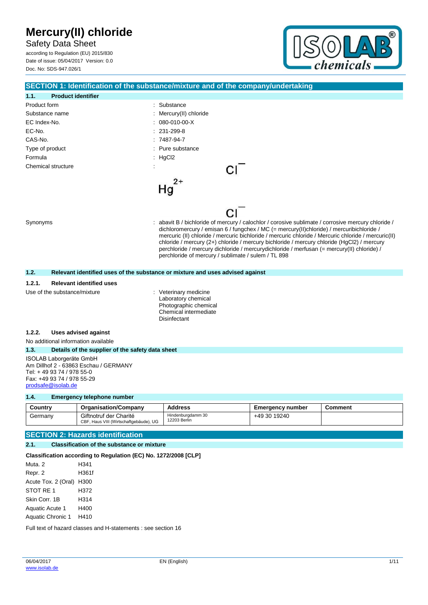Safety Data Sheet according to Regulation (EU) 2015/830 Date of issue: 05/04/2017 Version: 0.0 Doc. No: SDS-947.026/1



|                                                         |                                                                  | SECTION 1: Identification of the substance/mixture and of the company/undertaking                                                                                                            |                         |                |  |
|---------------------------------------------------------|------------------------------------------------------------------|----------------------------------------------------------------------------------------------------------------------------------------------------------------------------------------------|-------------------------|----------------|--|
| 1.1.<br><b>Product identifier</b>                       |                                                                  |                                                                                                                                                                                              |                         |                |  |
| Product form                                            |                                                                  | : Substance                                                                                                                                                                                  |                         |                |  |
| Substance name                                          |                                                                  | Mercury(II) chloride                                                                                                                                                                         |                         |                |  |
| EC Index-No.                                            |                                                                  | 080-010-00-X                                                                                                                                                                                 |                         |                |  |
| EC-No.                                                  |                                                                  | $: 231 - 299 - 8$                                                                                                                                                                            |                         |                |  |
| CAS-No.                                                 |                                                                  | $:7487-94-7$                                                                                                                                                                                 |                         |                |  |
| Type of product                                         |                                                                  | Pure substance                                                                                                                                                                               |                         |                |  |
| Formula                                                 |                                                                  | HgCl2                                                                                                                                                                                        |                         |                |  |
| Chemical structure                                      |                                                                  |                                                                                                                                                                                              |                         |                |  |
|                                                         |                                                                  | 2+                                                                                                                                                                                           |                         |                |  |
|                                                         |                                                                  | Hg                                                                                                                                                                                           |                         |                |  |
|                                                         |                                                                  |                                                                                                                                                                                              |                         |                |  |
|                                                         |                                                                  |                                                                                                                                                                                              |                         |                |  |
|                                                         |                                                                  |                                                                                                                                                                                              |                         |                |  |
| Synonyms                                                |                                                                  | abavit B / bichloride of mercury / calochlor / corosive sublimate / corrosive mercury chloride /<br>dichloromercury / emisan 6 / fungchex / MC (= mercury(II)chloride) / mercuribichloride / |                         |                |  |
|                                                         |                                                                  | mercuric (II) chloride / mercuric bichloride / mercuric chloride / Mercuric chloride / mercuric (II)                                                                                         |                         |                |  |
|                                                         |                                                                  | chloride / mercury (2+) chloride / mercury bichloride / mercury chloride (HgCl2) / mercury                                                                                                   |                         |                |  |
|                                                         |                                                                  | perchloride / mercury dichloride / mercurydichloride / merfusan (= mercury(II) chloride) /<br>perchloride of mercury / sublimate / sulem / TL 898                                            |                         |                |  |
|                                                         |                                                                  |                                                                                                                                                                                              |                         |                |  |
| 1.2.                                                    |                                                                  | Relevant identified uses of the substance or mixture and uses advised against                                                                                                                |                         |                |  |
| 1.2.1.                                                  | <b>Relevant identified uses</b>                                  |                                                                                                                                                                                              |                         |                |  |
| Use of the substance/mixture                            |                                                                  | Veterinary medicine                                                                                                                                                                          |                         |                |  |
|                                                         | Laboratory chemical<br>Photographic chemical                     |                                                                                                                                                                                              |                         |                |  |
|                                                         |                                                                  | Chemical intermediate                                                                                                                                                                        |                         |                |  |
|                                                         |                                                                  | <b>Disinfectant</b>                                                                                                                                                                          |                         |                |  |
| 1.2.2.                                                  | Uses advised against                                             |                                                                                                                                                                                              |                         |                |  |
| No additional information available                     |                                                                  |                                                                                                                                                                                              |                         |                |  |
| 1.3.                                                    | Details of the supplier of the safety data sheet                 |                                                                                                                                                                                              |                         |                |  |
| ISOLAB Laborgeräte GmbH                                 |                                                                  |                                                                                                                                                                                              |                         |                |  |
|                                                         | Am Dillhof 2 - 63863 Eschau / GERMANY                            |                                                                                                                                                                                              |                         |                |  |
| Tel: +49 93 74 / 978 55-0<br>Fax: +49 93 74 / 978 55-29 |                                                                  |                                                                                                                                                                                              |                         |                |  |
| prodsafe@isolab.de                                      |                                                                  |                                                                                                                                                                                              |                         |                |  |
| 1.4.                                                    | <b>Emergency telephone number</b>                                |                                                                                                                                                                                              |                         |                |  |
| Country                                                 | <b>Organisation/Company</b>                                      | <b>Address</b>                                                                                                                                                                               | <b>Emergency number</b> | <b>Comment</b> |  |
| Germany                                                 | Giftnotruf der Charité<br>CBF, Haus VIII (Wirtschaftgebäude), UG | Hindenburgdamm 30<br>12203 Berlin                                                                                                                                                            | +49 30 19240            |                |  |
|                                                         |                                                                  |                                                                                                                                                                                              |                         |                |  |
|                                                         | <b>SECTION 2: Hazards identification</b>                         |                                                                                                                                                                                              |                         |                |  |
| 2.1.                                                    | <b>Classification of the substance or mixture</b>                |                                                                                                                                                                                              |                         |                |  |
|                                                         | Classification according to Regulation (EC) No. 1272/2008 [CLP]  |                                                                                                                                                                                              |                         |                |  |
| Muta. 2                                                 | H341                                                             |                                                                                                                                                                                              |                         |                |  |
| Ronr 2                                                  | H361f                                                            |                                                                                                                                                                                              |                         |                |  |

Repr. 2 H361f Acute Tox. 2 (Oral) H300 STOT RE 1 H372 Skin Corr. 1B H314 Aquatic Acute 1 H400 Aquatic Chronic 1 H410

Full text of hazard classes and H-statements : see section 16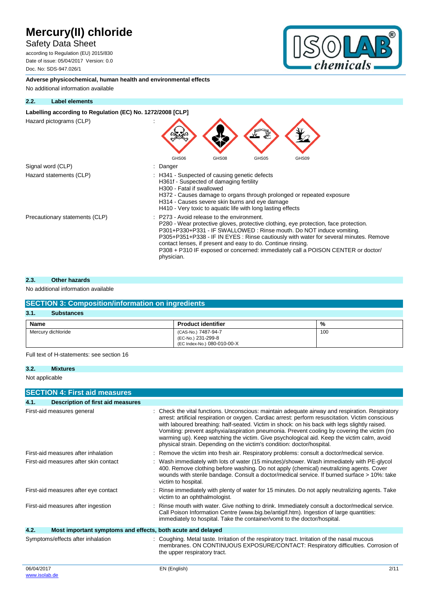## Safety Data Sheet

according to Regulation (EU) 2015/830 Date of issue: 05/04/2017 Version: 0.0 Doc. No: SDS-947.026/1



**Adverse physicochemical, human health and environmental effects** No additional information available

#### **2.2. Label elements**

#### Labelling according to Regulation (EC) No. 1272/2008 [CLP]

Hazard pictograms (CLP) :



#### **2.3. Other hazards**

#### No additional information available

### **SECTION 3: Composition/information on ingredients**

| 3.1.<br><b>Substances</b> |                                                                          |     |
|---------------------------|--------------------------------------------------------------------------|-----|
| <b>Name</b>               | <b>Product identifier</b>                                                | %   |
| Mercury dichloride        | (CAS-No.) 7487-94-7<br>(EC-No.) 231-299-8<br>(EC Index-No.) 080-010-00-X | 100 |

Full text of H-statements: see section 16

#### **3.2. Mixtures**

Not applicable

|            | <b>SECTION 4: First aid measures</b>                        |                                                                                                                                                                                                                                                                                                                                                                                                                                                                                                                                                                              |
|------------|-------------------------------------------------------------|------------------------------------------------------------------------------------------------------------------------------------------------------------------------------------------------------------------------------------------------------------------------------------------------------------------------------------------------------------------------------------------------------------------------------------------------------------------------------------------------------------------------------------------------------------------------------|
| 4.1.       | Description of first aid measures                           |                                                                                                                                                                                                                                                                                                                                                                                                                                                                                                                                                                              |
|            | First-aid measures general                                  | : Check the vital functions. Unconscious: maintain adequate airway and respiration. Respiratory<br>arrest: artificial respiration or oxygen. Cardiac arrest: perform resuscitation. Victim conscious<br>with laboured breathing: half-seated. Victim in shock: on his back with legs slightly raised.<br>Vomiting: prevent asphyxia/aspiration pneumonia. Prevent cooling by covering the victim (no<br>warming up). Keep watching the victim. Give psychological aid. Keep the victim calm, avoid<br>physical strain. Depending on the victim's condition: doctor/hospital. |
|            | First-aid measures after inhalation                         | : Remove the victim into fresh air. Respiratory problems: consult a doctor/medical service.                                                                                                                                                                                                                                                                                                                                                                                                                                                                                  |
|            | First-aid measures after skin contact                       | : Wash immediately with lots of water (15 minutes)/shower. Wash immediately with PE-glycol<br>400. Remove clothing before washing. Do not apply (chemical) neutralizing agents. Cover<br>wounds with sterile bandage. Consult a doctor/medical service. If burned surface > 10%: take<br>victim to hospital.                                                                                                                                                                                                                                                                 |
|            | First-aid measures after eye contact                        | : Rinse immediately with plenty of water for 15 minutes. Do not apply neutralizing agents. Take<br>victim to an ophthalmologist.                                                                                                                                                                                                                                                                                                                                                                                                                                             |
|            | First-aid measures after ingestion                          | : Rinse mouth with water. Give nothing to drink. Immediately consult a doctor/medical service.<br>Call Poison Information Centre (www.big.be/antigif.htm). Ingestion of large quantities:<br>immediately to hospital. Take the container/vomit to the doctor/hospital.                                                                                                                                                                                                                                                                                                       |
| 4.2.       | Most important symptoms and effects, both acute and delayed |                                                                                                                                                                                                                                                                                                                                                                                                                                                                                                                                                                              |
|            | Symptoms/effects after inhalation                           | : Coughing. Metal taste. Irritation of the respiratory tract. Irritation of the nasal mucous<br>membranes. ON CONTINUOUS EXPOSURE/CONTACT: Respiratory difficulties. Corrosion of<br>the upper respiratory tract.                                                                                                                                                                                                                                                                                                                                                            |
| 06/04/2017 |                                                             | 2/11<br>EN (English)                                                                                                                                                                                                                                                                                                                                                                                                                                                                                                                                                         |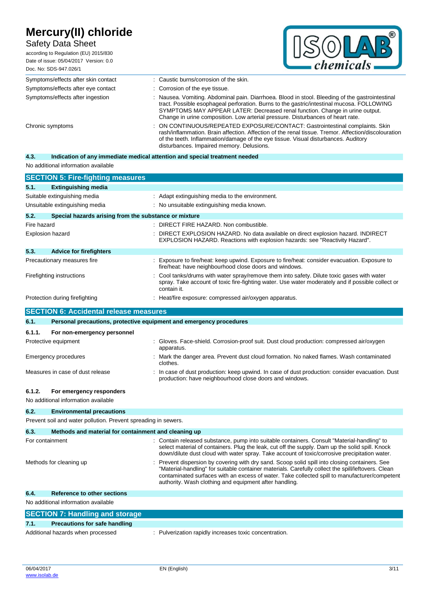## Safety Data Sheet

| Mercury(II) chloride<br><b>Safety Data Sheet</b><br>according to Regulation (EU) 2015/830<br>Date of issue: 05/04/2017 Version: 0.0<br>Doc. No: SDS-947.026/1 | chemicals                                                                                                                                                                                                                                                                                                                                                       |
|---------------------------------------------------------------------------------------------------------------------------------------------------------------|-----------------------------------------------------------------------------------------------------------------------------------------------------------------------------------------------------------------------------------------------------------------------------------------------------------------------------------------------------------------|
| Symptoms/effects after skin contact                                                                                                                           | : Caustic burns/corrosion of the skin.                                                                                                                                                                                                                                                                                                                          |
| Symptoms/effects after eye contact                                                                                                                            | : Corrosion of the eye tissue.                                                                                                                                                                                                                                                                                                                                  |
| Symptoms/effects after ingestion                                                                                                                              | : Nausea. Vomiting. Abdominal pain. Diarrhoea. Blood in stool. Bleeding of the gastrointestinal<br>tract. Possible esophageal perforation. Burns to the gastric/intestinal mucosa. FOLLOWING<br>SYMPTOMS MAY APPEAR LATER: Decreased renal function. Change in urine output.<br>Change in urine composition. Low arterial pressure. Disturbances of heart rate. |
| Chronic symptoms                                                                                                                                              | : ON CONTINUOUS/REPEATED EXPOSURE/CONTACT: Gastrointestinal complaints. Skin<br>rash/inflammation. Brain affection. Affection of the renal tissue. Tremor. Affection/discolouration<br>of the teeth. Inflammation/damage of the eye tissue. Visual disturbances. Auditory<br>disturbances. Impaired memory. Delusions.                                          |

### **4.3. Indication of any immediate medical attention and special treatment needed**

No additional information available

| <b>SECTION 5: Fire-fighting measures</b>                      |                                                                                                                                                                                                              |
|---------------------------------------------------------------|--------------------------------------------------------------------------------------------------------------------------------------------------------------------------------------------------------------|
| 5.1.<br><b>Extinguishing media</b>                            |                                                                                                                                                                                                              |
| Suitable extinguishing media                                  | : Adapt extinguishing media to the environment.                                                                                                                                                              |
| Unsuitable extinguishing media                                | : No unsuitable extinguishing media known.                                                                                                                                                                   |
| 5.2.<br>Special hazards arising from the substance or mixture |                                                                                                                                                                                                              |
| Fire hazard                                                   | : DIRECT FIRE HAZARD. Non combustible.                                                                                                                                                                       |
| <b>Explosion hazard</b>                                       | DIRECT EXPLOSION HAZARD. No data available on direct explosion hazard. INDIRECT<br>EXPLOSION HAZARD. Reactions with explosion hazards: see "Reactivity Hazard".                                              |
| 5.3.<br><b>Advice for firefighters</b>                        |                                                                                                                                                                                                              |
| Precautionary measures fire                                   | Exposure to fire/heat: keep upwind. Exposure to fire/heat: consider evacuation. Exposure to<br>fire/heat: have neighbourhood close doors and windows.                                                        |
| Firefighting instructions                                     | Cool tanks/drums with water spray/remove them into safety. Dilute toxic gases with water<br>spray. Take account of toxic fire-fighting water. Use water moderately and if possible collect or<br>contain it. |
| Protection during firefighting                                | Heat/fire exposure: compressed air/oxygen apparatus.                                                                                                                                                         |
| <b>SECTION 6: Accidental release measures</b>                 |                                                                                                                                                                                                              |
| 6.1.                                                          | Personal precautions, protective equipment and emergency procedures                                                                                                                                          |
| 6.1.1.<br>For non-emergency personnel                         |                                                                                                                                                                                                              |
| Protective equipment                                          | Gloves. Face-shield. Corrosion-proof suit. Dust cloud production: compressed air/oxygen<br>apparatus.                                                                                                        |
| <b>Emergency procedures</b>                                   | Mark the danger area. Prevent dust cloud formation. No naked flames. Wash contaminated<br>clothes.                                                                                                           |
| Measures in case of dust release                              | In case of dust production: keep upwind. In case of dust production: consider evacuation. Dust<br>production: have neighbourhood close doors and windows.                                                    |
| 6.1.2.<br>For emergency responders                            |                                                                                                                                                                                                              |
| No additional information available                           |                                                                                                                                                                                                              |

**6.2. Environmental precautions**

Prevent soil and water pollution. Prevent spreading in sewers.

| 6.3.            | Methods and material for containment and cleaning up |                                                                                                                                                                                                                                                                                                                                                                 |
|-----------------|------------------------------------------------------|-----------------------------------------------------------------------------------------------------------------------------------------------------------------------------------------------------------------------------------------------------------------------------------------------------------------------------------------------------------------|
| For containment |                                                      | : Contain released substance, pump into suitable containers. Consult "Material-handling" to<br>select material of containers. Plug the leak, cut off the supply. Dam up the solid spill. Knock<br>down/dilute dust cloud with water spray. Take account of toxic/corrosive precipitation water.                                                                 |
|                 | Methods for cleaning up                              | : Prevent dispersion by covering with dry sand. Scoop solid spill into closing containers. See<br>"Material-handling" for suitable container materials. Carefully collect the spill/leftovers. Clean<br>contaminated surfaces with an excess of water. Take collected spill to manufacturer/competent<br>authority. Wash clothing and equipment after handling. |
| 6.4.            | <b>Reference to other sections</b>                   |                                                                                                                                                                                                                                                                                                                                                                 |
|                 | No additional information available                  |                                                                                                                                                                                                                                                                                                                                                                 |
|                 | <b>SECTION 7: Handling and storage</b>               |                                                                                                                                                                                                                                                                                                                                                                 |
| 7.1.            | <b>Precautions for safe handling</b>                 |                                                                                                                                                                                                                                                                                                                                                                 |
|                 | Additional hazards when processed                    | : Pulverization rapidly increases toxic concentration.                                                                                                                                                                                                                                                                                                          |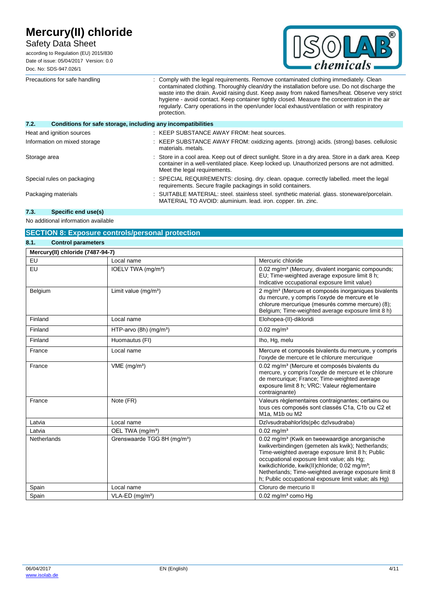| Mercury(II) chloride<br><b>Safety Data Sheet</b><br>according to Regulation (EU) 2015/830<br>Date of issue: 05/04/2017 Version: 0.0<br>Doc. No: SDS-947.026/1 | $-$ <i>chemicals</i>                                                                                                                                                                                                                                                                                                                                                                                                                                                                                  | ® |
|---------------------------------------------------------------------------------------------------------------------------------------------------------------|-------------------------------------------------------------------------------------------------------------------------------------------------------------------------------------------------------------------------------------------------------------------------------------------------------------------------------------------------------------------------------------------------------------------------------------------------------------------------------------------------------|---|
| Precautions for safe handling                                                                                                                                 | Comply with the legal requirements. Remove contaminated clothing immediately. Clean<br>contaminated clothing. Thoroughly clean/dry the installation before use. Do not discharge the<br>waste into the drain. Avoid raising dust. Keep away from naked flames/heat. Observe very strict<br>hygiene - avoid contact. Keep container tightly closed. Measure the concentration in the air<br>regularly. Carry operations in the open/under local exhaust/ventilation or with respiratory<br>protection. |   |
| 7.2.<br>Conditions for safe storage, including any incompatibilities                                                                                          |                                                                                                                                                                                                                                                                                                                                                                                                                                                                                                       |   |
| Heat and ignition sources                                                                                                                                     | : KEEP SUBSTANCE AWAY FROM: heat sources.                                                                                                                                                                                                                                                                                                                                                                                                                                                             |   |
| Information on mixed storage                                                                                                                                  | : KEEP SUBSTANCE AWAY FROM: oxidizing agents. (strong) acids. (strong) bases. cellulosic<br>materials. metals.                                                                                                                                                                                                                                                                                                                                                                                        |   |
| Storage area                                                                                                                                                  | Store in a cool area. Keep out of direct sunlight. Store in a dry area. Store in a dark area. Keep<br>container in a well-ventilated place. Keep locked up. Unauthorized persons are not admitted.<br>Meet the legal requirements.                                                                                                                                                                                                                                                                    |   |
| Special rules on packaging                                                                                                                                    | SPECIAL REQUIREMENTS: closing. dry. clean. opaque. correctly labelled. meet the legal<br>requirements. Secure fragile packagings in solid containers.                                                                                                                                                                                                                                                                                                                                                 |   |
| Packaging materials                                                                                                                                           | SUITABLE MATERIAL: steel. stainless steel. synthetic material. glass. stoneware/porcelain.                                                                                                                                                                                                                                                                                                                                                                                                            |   |

MATERIAL TO AVOID: aluminium. lead. iron. copper. tin. zinc.

#### **7.3. Specific end use(s)**

No additional information available

|                                   | <b>SECTION 8: Exposure controls/personal protection</b> |                                                                                                                                                                                                                                                                                                                                                                                               |
|-----------------------------------|---------------------------------------------------------|-----------------------------------------------------------------------------------------------------------------------------------------------------------------------------------------------------------------------------------------------------------------------------------------------------------------------------------------------------------------------------------------------|
| 8.1.<br><b>Control parameters</b> |                                                         |                                                                                                                                                                                                                                                                                                                                                                                               |
| Mercury(II) chloride (7487-94-7)  |                                                         |                                                                                                                                                                                                                                                                                                                                                                                               |
| EU                                | Local name                                              | Mercuric chloride                                                                                                                                                                                                                                                                                                                                                                             |
| EU                                | IOELV TWA (mg/m <sup>3</sup> )                          | 0.02 mg/m <sup>3</sup> (Mercury, divalent inorganic compounds;<br>EU; Time-weighted average exposure limit 8 h;<br>Indicative occupational exposure limit value)                                                                                                                                                                                                                              |
| Belgium                           | Limit value $(mg/m3)$                                   | 2 mg/m <sup>3</sup> (Mercure et composés inorganiques bivalents<br>du mercure, y compris l'oxyde de mercure et le<br>chlorure mercurique (mesurés comme mercure) (8);<br>Belgium; Time-weighted average exposure limit 8 h)                                                                                                                                                                   |
| Finland                           | Local name                                              | Elohopea-(II)-dikloridi                                                                                                                                                                                                                                                                                                                                                                       |
| Finland                           | HTP-arvo (8h) (mg/m <sup>3</sup> )                      | $0.02$ mg/m <sup>3</sup>                                                                                                                                                                                                                                                                                                                                                                      |
| Finland                           | Huomautus (FI)                                          | Iho, Hq, melu                                                                                                                                                                                                                                                                                                                                                                                 |
| France                            | Local name                                              | Mercure et composés bivalents du mercure, y compris<br>l'oxyde de mercure et le chlorure mercurique                                                                                                                                                                                                                                                                                           |
| France                            | $VME$ (mg/m <sup>3</sup> )                              | 0.02 mg/m <sup>3</sup> (Mercure et composés bivalents du<br>mercure, y compris l'oxyde de mercure et le chlorure<br>de mercurique; France; Time-weighted average<br>exposure limit 8 h; VRC: Valeur réglementaire<br>contraignante)                                                                                                                                                           |
| France                            | Note (FR)                                               | Valeurs règlementaires contraignantes; certains ou<br>tous ces composés sont classés C1a, C1b ou C2 et<br>M1a, M1b ou M2                                                                                                                                                                                                                                                                      |
| Latvia                            | Local name                                              | Dzīvsudrabahlorīds(pēc dzīvsudraba)                                                                                                                                                                                                                                                                                                                                                           |
| Latvia                            | OEL TWA (mg/m <sup>3</sup> )                            | $0.02 \text{ mg/m}^3$                                                                                                                                                                                                                                                                                                                                                                         |
| Netherlands                       | Grenswaarde TGG 8H (mg/m <sup>3</sup> )                 | 0.02 mg/m <sup>3</sup> (Kwik en tweewaardige anorganische<br>kwikverbindingen (gemeten als kwik); Netherlands;<br>Time-weighted average exposure limit 8 h; Public<br>occupational exposure limit value; als Hq;<br>kwikdichloride, kwik(II)chloride; 0.02 mg/m <sup>3</sup> ;<br>Netherlands; Time-weighted average exposure limit 8<br>h; Public occupational exposure limit value; als Hg) |
| Spain                             | Local name                                              | Cloruro de mercurio II                                                                                                                                                                                                                                                                                                                                                                        |
| Spain                             | $VLA-ED$ (mg/m <sup>3</sup> )                           | $0.02$ mg/m <sup>3</sup> como Hg                                                                                                                                                                                                                                                                                                                                                              |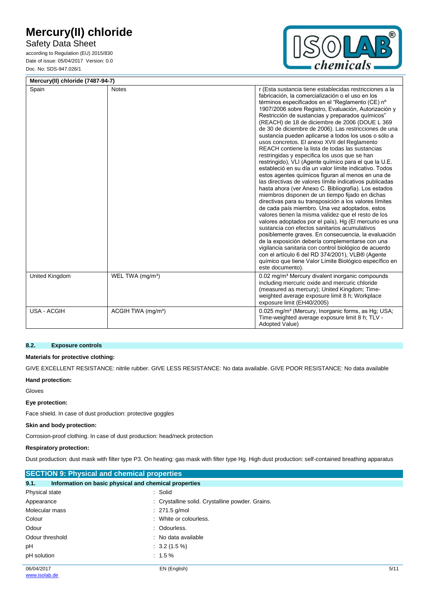Safety Data Sheet

according to Regulation (EU) 2015/830 Date of issue: 05/04/2017 Version: 0.0 Doc. No: SDS-947.026/1



| Mercury(II) chloride (7487-94-7) |                                |                                                                                                                                                                                                                                                                                                                                                                                                                                                                                                                                                                                                                                                                                                                                                                                                                                                                                                                                                                                                                                                                                                                                                                                                                                                                                                                                                                                                                                                                                                                                     |
|----------------------------------|--------------------------------|-------------------------------------------------------------------------------------------------------------------------------------------------------------------------------------------------------------------------------------------------------------------------------------------------------------------------------------------------------------------------------------------------------------------------------------------------------------------------------------------------------------------------------------------------------------------------------------------------------------------------------------------------------------------------------------------------------------------------------------------------------------------------------------------------------------------------------------------------------------------------------------------------------------------------------------------------------------------------------------------------------------------------------------------------------------------------------------------------------------------------------------------------------------------------------------------------------------------------------------------------------------------------------------------------------------------------------------------------------------------------------------------------------------------------------------------------------------------------------------------------------------------------------------|
| Spain                            | <b>Notes</b>                   | r (Esta sustancia tiene establecidas restricciones a la<br>fabricación, la comercialización o el uso en los<br>términos especificados en el "Reglamento (CE) nº<br>1907/2006 sobre Registro, Evaluación, Autorización y<br>Restricción de sustancias y preparados químicos"<br>(REACH) de 18 de diciembre de 2006 (DOUE L 369<br>de 30 de diciembre de 2006). Las restricciones de una<br>sustancia pueden aplicarse a todos los usos o sólo a<br>usos concretos. El anexo XVII del Reglamento<br>REACH contiene la lista de todas las sustancias<br>restringidas y especifica los usos que se han<br>restringido), VLI (Agente químico para el que la U.E.<br>estableció en su día un valor límite indicativo. Todos<br>estos agentes químicos figuran al menos en una de<br>las directivas de valores límite indicativos publicadas<br>hasta ahora (ver Anexo C. Bibliografía). Los estados<br>miembros disponen de un tiempo fijado en dichas<br>directivas para su transposición a los valores límites<br>de cada país miembro. Una vez adoptados, estos<br>valores tienen la misma validez que el resto de los<br>valores adoptados por el país), Hg (El mercurio es una<br>sustancia con efectos sanitarios acumulativos<br>posiblemente graves. En consecuencia, la evaluación<br>de la exposición debería complementarse con una<br>vigilancia sanitaria con control biológico de acuerdo<br>con el artículo 6 del RD 374/2001), VLB® (Agente<br>químico que tiene Valor Límite Biológico específico en<br>este documento). |
| <b>United Kingdom</b>            | WEL TWA (mg/m <sup>3</sup> )   | 0.02 mg/m <sup>3</sup> Mercury divalent inorganic compounds<br>including mercuric oxide and mercuric chloride<br>(measured as mercury); United Kingdom; Time-<br>weighted average exposure limit 8 h; Workplace<br>exposure limit (EH40/2005)                                                                                                                                                                                                                                                                                                                                                                                                                                                                                                                                                                                                                                                                                                                                                                                                                                                                                                                                                                                                                                                                                                                                                                                                                                                                                       |
| USA - ACGIH                      | ACGIH TWA (mg/m <sup>3</sup> ) | 0.025 mg/m <sup>3</sup> (Mercury, Inorganic forms, as Hg; USA;<br>Time-weighted average exposure limit 8 h; TLV -<br>Adopted Value)                                                                                                                                                                                                                                                                                                                                                                                                                                                                                                                                                                                                                                                                                                                                                                                                                                                                                                                                                                                                                                                                                                                                                                                                                                                                                                                                                                                                 |

#### **8.2. Exposure controls**

#### **Materials for protective clothing:**

GIVE EXCELLENT RESISTANCE: nitrile rubber. GIVE LESS RESISTANCE: No data available. GIVE POOR RESISTANCE: No data available

### **Hand protection:**

Gloves

#### **Eye protection:**

Face shield. In case of dust production: protective goggles

## **Skin and body protection:**

Corrosion-proof clothing. In case of dust production: head/neck protection

#### **Respiratory protection:**

Dust production: dust mask with filter type P3. On heating: gas mask with filter type Hg. High dust production: self-contained breathing apparatus

| <b>SECTION 9: Physical and chemical properties</b> |                                                       |      |
|----------------------------------------------------|-------------------------------------------------------|------|
| 9.1.                                               | Information on basic physical and chemical properties |      |
| Physical state                                     | : Solid                                               |      |
| Appearance                                         | : Crystalline solid. Crystalline powder. Grains.      |      |
| Molecular mass                                     | $: 271.5$ g/mol                                       |      |
| Colour                                             | : White or colourless.                                |      |
| Odour                                              | : Odourless.                                          |      |
| Odour threshold                                    | : No data available                                   |      |
| рH                                                 | $\therefore$ 3.2 (1.5 %)                              |      |
| pH solution                                        | $: 1.5 \%$                                            |      |
| 06/04/2017                                         | EN (English)                                          | 5/11 |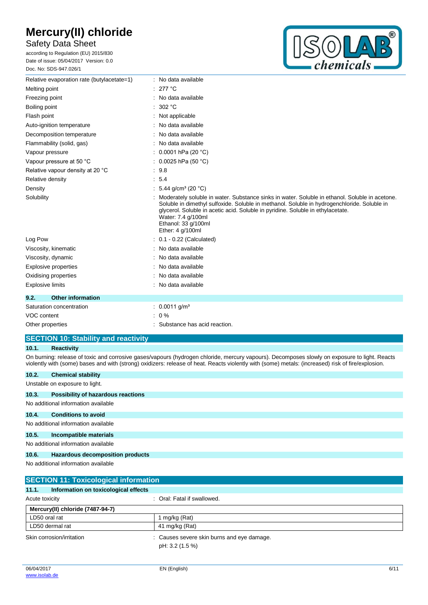## Safety Data Sheet

according to Regulation (EU) 2015/830 Date of issue: 05/04/2017 Version: 0.0 Doc. No: SDS-947.026/1



| Relative evaporation rate (butylacetate=1) | No data available                                                                                                                                                                                                                                                                                                                                 |
|--------------------------------------------|---------------------------------------------------------------------------------------------------------------------------------------------------------------------------------------------------------------------------------------------------------------------------------------------------------------------------------------------------|
| Melting point                              | 277 °C                                                                                                                                                                                                                                                                                                                                            |
| Freezing point                             | No data available                                                                                                                                                                                                                                                                                                                                 |
| Boiling point                              | 302 °C                                                                                                                                                                                                                                                                                                                                            |
| Flash point                                | Not applicable                                                                                                                                                                                                                                                                                                                                    |
| Auto-ignition temperature                  | No data available                                                                                                                                                                                                                                                                                                                                 |
| Decomposition temperature                  | No data available                                                                                                                                                                                                                                                                                                                                 |
| Flammability (solid, gas)                  | No data available                                                                                                                                                                                                                                                                                                                                 |
| Vapour pressure                            | 0.0001 hPa (20 $°C$ )                                                                                                                                                                                                                                                                                                                             |
| Vapour pressure at 50 °C                   | 0.0025 hPa $(50 °C)$                                                                                                                                                                                                                                                                                                                              |
| Relative vapour density at 20 °C           | 9.8                                                                                                                                                                                                                                                                                                                                               |
| Relative density                           | : 5.4                                                                                                                                                                                                                                                                                                                                             |
| Density                                    | 5.44 g/cm <sup>3</sup> (20 °C)                                                                                                                                                                                                                                                                                                                    |
| Solubility                                 | Moderately soluble in water. Substance sinks in water. Soluble in ethanol. Soluble in acetone.<br>Soluble in dimethyl sulfoxide. Soluble in methanol. Soluble in hydrogenchloride. Soluble in<br>glycerol. Soluble in acetic acid. Soluble in pyridine. Soluble in ethylacetate.<br>Water: 7.4 g/100ml<br>Ethanol: 33 g/100ml<br>Ether: 4 g/100ml |
| Log Pow                                    | $0.1 - 0.22$ (Calculated)                                                                                                                                                                                                                                                                                                                         |
| Viscosity, kinematic                       | No data available                                                                                                                                                                                                                                                                                                                                 |
| Viscosity, dynamic                         | No data available                                                                                                                                                                                                                                                                                                                                 |
| <b>Explosive properties</b>                | No data available                                                                                                                                                                                                                                                                                                                                 |
| Oxidising properties                       | No data available                                                                                                                                                                                                                                                                                                                                 |
| <b>Explosive limits</b>                    | No data available                                                                                                                                                                                                                                                                                                                                 |
| <b>Other information</b><br>9.2.           |                                                                                                                                                                                                                                                                                                                                                   |
| Saturation concentration                   | $: 0.0011$ g/m <sup>3</sup>                                                                                                                                                                                                                                                                                                                       |
| VOC content                                | $0\%$                                                                                                                                                                                                                                                                                                                                             |
| Other properties                           | Substance has acid reaction.                                                                                                                                                                                                                                                                                                                      |

### **SECTION 10: Stability and reactivity**

### **10.1. Reactivity**

On burning: release of toxic and corrosive gases/vapours (hydrogen chloride, mercury vapours). Decomposes slowly on exposure to light. Reacts violently with (some) bases and with (strong) oxidizers: release of heat. Reacts violently with (some) metals: (increased) risk of fire/explosion.

### **10.2. Chemical stability**

Unstable on exposure to light.

| 10.3. | <b>Possibility of hazardous reactions</b> |  |
|-------|-------------------------------------------|--|
|       | No additional information available       |  |
| 10.4. | <b>Conditions to avoid</b>                |  |
|       | No additional information available       |  |
| 10.5. | Incompatible materials                    |  |
|       | No additional information available       |  |
| 10.6. | Hazardous decomposition products          |  |

No additional information available

| <b>SECTION 11: Toxicological information</b>  |                                                               |  |  |  |
|-----------------------------------------------|---------------------------------------------------------------|--|--|--|
| Information on toxicological effects<br>11.1. |                                                               |  |  |  |
| Acute toxicity                                | : Oral: Fatal if swallowed.                                   |  |  |  |
| Mercury(II) chloride (7487-94-7)              |                                                               |  |  |  |
| LD50 oral rat                                 | mg/kg (Rat)                                                   |  |  |  |
| LD50 dermal rat                               | 41 mg/kg (Rat)                                                |  |  |  |
| Skin corrosion/irritation                     | : Causes severe skin burns and eye damage.<br>pH: 3.2 (1.5 %) |  |  |  |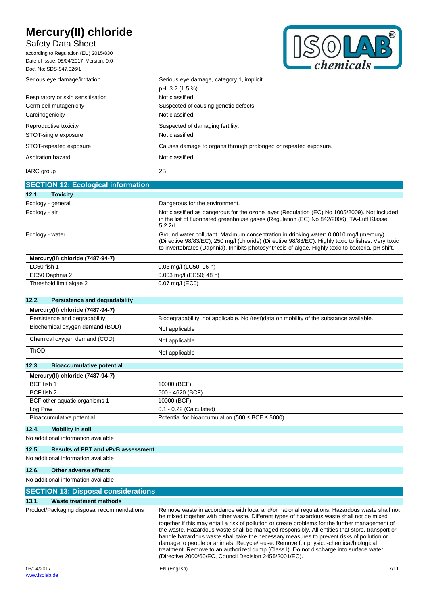## Safety Data Sheet

according to Regulation (EU) 2015/830 Date of issue: 05/04/2017 Version: 0.0 Doc. No: SDS-947.026/1



| Serious eye damage/irritation             | : Serious eye damage, category 1, implicit<br>pH: 3.2 (1.5 %)     |
|-------------------------------------------|-------------------------------------------------------------------|
| Respiratory or skin sensitisation         | : Not classified                                                  |
| Germ cell mutagenicity                    | : Suspected of causing genetic defects.                           |
| Carcinogenicity                           | : Not classified                                                  |
| Reproductive toxicity                     | : Suspected of damaging fertility.                                |
| STOT-single exposure                      | : Not classified                                                  |
| STOT-repeated exposure                    | : Causes damage to organs through prolonged or repeated exposure. |
| Aspiration hazard                         | : Not classified                                                  |
| IARC group                                | $\therefore$ 2B                                                   |
| <b>SECTION 12: Ecological information</b> |                                                                   |
| <b>Toxicity</b><br>12.1.                  |                                                                   |

| <b>Toxicity</b><br>12.1.         |                                                                                                                                                                                                                                                                                                     |
|----------------------------------|-----------------------------------------------------------------------------------------------------------------------------------------------------------------------------------------------------------------------------------------------------------------------------------------------------|
| Ecology - general                | : Dangerous for the environment.                                                                                                                                                                                                                                                                    |
| Ecology - air                    | : Not classified as dangerous for the ozone layer (Regulation (EC) No 1005/2009). Not included<br>in the list of fluorinated greenhouse gases (Regulation (EC) No 842/2006). TA-Luft Klasse<br>5.2.2/1.                                                                                             |
| Ecology - water                  | : Ground water pollutant. Maximum concentration in drinking water: 0.0010 mg/l (mercury)<br>(Directive 98/83/EC); 250 mg/l (chloride) (Directive 98/83/EC). Highly toxic to fishes. Very toxic<br>to invertebrates (Daphnia). Inhibits photosynthesis of algae. Highly toxic to bacteria. pH shift. |
| Mercury(II) chloride (7487-94-7) |                                                                                                                                                                                                                                                                                                     |

| //wercury(II) chloride (7487-94-7 |                         |
|-----------------------------------|-------------------------|
| LC50 fish 1                       | 0.03 mg/l (LC50; 96 h)  |
| EC50 Daphnia 2                    | 0.003 mg/l (EC50; 48 h) |
| Threshold limit algae 2           | $0.07$ mg/l (EC0)       |
|                                   |                         |

#### **12.2. Persistence and degradability**

| Mercury(II) chloride (7487-94-7)               |                                                                                         |
|------------------------------------------------|-----------------------------------------------------------------------------------------|
| Persistence and degradability                  | Biodegradability: not applicable. No (test)data on mobility of the substance available. |
| Biochemical oxygen demand (BOD)                | Not applicable                                                                          |
| Chemical oxygen demand (COD)<br>Not applicable |                                                                                         |
| <b>ThOD</b>                                    | Not applicable                                                                          |

## **12.3. Bioaccumulative potential**

| Mercury(II) chloride (7487-94-7) |                                                             |
|----------------------------------|-------------------------------------------------------------|
| BCF fish 1                       | 10000 (BCF)                                                 |
| BCF fish 2                       | 500 - 4620 (BCF)                                            |
| BCF other aquatic organisms 1    | 10000 (BCF)                                                 |
| Log Pow                          | $0.1 - 0.22$ (Calculated)                                   |
| Bioaccumulative potential        | Potential for bioaccumulation (500 $\leq$ BCF $\leq$ 5000). |

### **12.4. Mobility in soil**

### No additional information available

#### **12.5. Results of PBT and vPvB assessment**

No additional information available

### **12.6. Other adverse effects**

#### No additional information available

| <b>SECTION 13: Disposal considerations</b> |                                                                                                                                                                                                                                                                                                                                                                                                                                                                                                                                                                                                                                                                                                                                        |  |
|--------------------------------------------|----------------------------------------------------------------------------------------------------------------------------------------------------------------------------------------------------------------------------------------------------------------------------------------------------------------------------------------------------------------------------------------------------------------------------------------------------------------------------------------------------------------------------------------------------------------------------------------------------------------------------------------------------------------------------------------------------------------------------------------|--|
| 13.1.<br>Waste treatment methods           |                                                                                                                                                                                                                                                                                                                                                                                                                                                                                                                                                                                                                                                                                                                                        |  |
| Product/Packaging disposal recommendations | Remove waste in accordance with local and/or national regulations. Hazardous waste shall not<br>be mixed together with other waste. Different types of hazardous waste shall not be mixed<br>together if this may entail a risk of pollution or create problems for the further management of<br>the waste. Hazardous waste shall be managed responsibly. All entities that store, transport or<br>handle hazardous waste shall take the necessary measures to prevent risks of pollution or<br>damage to people or animals. Recycle/reuse. Remove for physico-chemical/biological<br>treatment. Remove to an authorized dump (Class I). Do not discharge into surface water<br>(Directive 2000/60/EC, Council Decision 2455/2001/EC). |  |
| 06/04/2017                                 | EN (English)<br>7/11                                                                                                                                                                                                                                                                                                                                                                                                                                                                                                                                                                                                                                                                                                                   |  |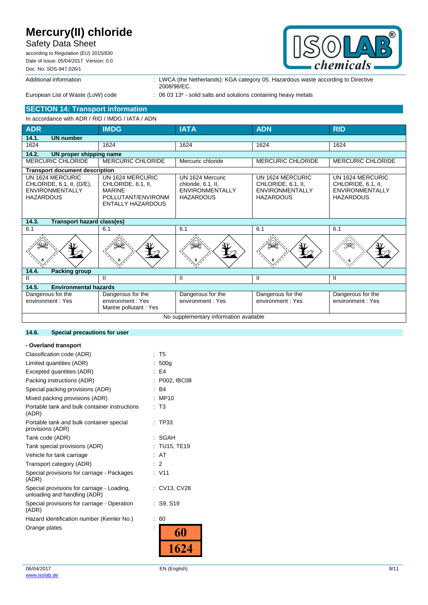## Safety Data Sheet

according to Regulation (EU) 2015/830 Date of issue: 05/04/2017 Version: 0.0 Doc. No: SDS-947.026/1



Additional information **information** : LWCA (the Netherlands): KGA category 05. Hazardous waste according to Directive 2008/98/EC.

European List of Waste (LoW) code : 06 03 13<sup>\*</sup> - solid salts and solutions containing heavy metals

### **SECTION 14: Transport information**

In accordance with ADR / RID / IMDG / IATA / ADN

| <b>ADR</b>                                                                                  | <b>IMDG</b>                                                                                               | <b>IATA</b>                                                                          | <b>ADN</b>                                                                           | <b>RID</b>                                                                           |  |  |  |  |
|---------------------------------------------------------------------------------------------|-----------------------------------------------------------------------------------------------------------|--------------------------------------------------------------------------------------|--------------------------------------------------------------------------------------|--------------------------------------------------------------------------------------|--|--|--|--|
| 14.1.<br><b>UN number</b>                                                                   |                                                                                                           |                                                                                      |                                                                                      |                                                                                      |  |  |  |  |
| 1624                                                                                        | 1624                                                                                                      | 1624                                                                                 | 1624                                                                                 | 1624                                                                                 |  |  |  |  |
| 14.2.                                                                                       | UN proper shipping name                                                                                   |                                                                                      |                                                                                      |                                                                                      |  |  |  |  |
| <b>MERCURIC CHLORIDE</b>                                                                    | <b>MERCURIC CHLORIDE</b>                                                                                  | Mercuric chloride                                                                    | <b>MERCURIC CHLORIDE</b>                                                             | <b>MERCURIC CHLORIDE</b>                                                             |  |  |  |  |
| <b>Transport document description</b>                                                       |                                                                                                           |                                                                                      |                                                                                      |                                                                                      |  |  |  |  |
| UN 1624 MERCURIC<br>CHLORIDE, 6.1, II, (D/E),<br><b>ENVIRONMENTALLY</b><br><b>HAZARDOUS</b> | UN 1624 MERCURIC<br>CHLORIDE, 6.1, II,<br><b>MARINE</b><br>POLLUTANT/ENVIRONM<br><b>ENTALLY HAZARDOUS</b> | UN 1624 Mercuric<br>chloride, 6.1, II,<br><b>ENVIRONMENTALLY</b><br><b>HAZARDOUS</b> | UN 1624 MERCURIC<br>CHLORIDE, 6.1, II,<br><b>ENVIRONMENTALLY</b><br><b>HAZARDOUS</b> | UN 1624 MERCURIC<br>CHLORIDE, 6.1, II.<br><b>ENVIRONMENTALLY</b><br><b>HAZARDOUS</b> |  |  |  |  |
| 14.3.<br>Transport hazard class(es)                                                         |                                                                                                           |                                                                                      |                                                                                      |                                                                                      |  |  |  |  |
| 6.1                                                                                         | 6.1                                                                                                       | 6.1                                                                                  | 6.1                                                                                  | 6.1                                                                                  |  |  |  |  |
|                                                                                             |                                                                                                           |                                                                                      |                                                                                      |                                                                                      |  |  |  |  |
| 14.4.<br><b>Packing group</b>                                                               |                                                                                                           |                                                                                      |                                                                                      |                                                                                      |  |  |  |  |
| Ш                                                                                           | Ш                                                                                                         | Ш                                                                                    | $\mathbf{H}$                                                                         | $\mathbf{H}$                                                                         |  |  |  |  |
| <b>Environmental hazards</b><br>14.5.                                                       |                                                                                                           |                                                                                      |                                                                                      |                                                                                      |  |  |  |  |
| Dangerous for the<br>environment: Yes                                                       | Dangerous for the<br>environment: Yes<br>Marine pollutant: Yes                                            | Dangerous for the<br>environment: Yes                                                | Dangerous for the<br>environment: Yes                                                | Dangerous for the<br>environment: Yes                                                |  |  |  |  |
| No supplementary information available                                                      |                                                                                                           |                                                                                      |                                                                                      |                                                                                      |  |  |  |  |

#### **14.6. Special precautions for user**

| - Overland transport                                                       |                     |
|----------------------------------------------------------------------------|---------------------|
| Classification code (ADR)                                                  | T <sub>5</sub><br>t |
| Limited quantities (ADR)                                                   | 500q                |
| Excepted quantities (ADR)                                                  | : E4                |
| Packing instructions (ADR)                                                 | P002, IBC08         |
| Special packing provisions (ADR)                                           | R <sub>4</sub>      |
| Mixed packing provisions (ADR)                                             | MP <sub>10</sub>    |
| Portable tank and bulk container instructions<br>(ADR)                     | T <sub>3</sub>      |
| Portable tank and bulk container special<br>provisions (ADR)               | TP33                |
| Tank code (ADR)                                                            | SGAH                |
| Tank special provisions (ADR)                                              | <b>TU15, TE19</b>   |
| Vehicle for tank carriage                                                  | AT                  |
| Transport category (ADR)                                                   | $\overline{2}$      |
| Special provisions for carriage - Packages<br>(ADR)                        | : V11               |
| Special provisions for carriage - Loading,<br>unloading and handling (ADR) | CV13, CV28          |
| Special provisions for carriage - Operation<br>(ADR)                       | : S9. S19           |
| Hazard identification number (Kemler No.)                                  | 60                  |
| Orange plates                                                              |                     |
|                                                                            | 1624                |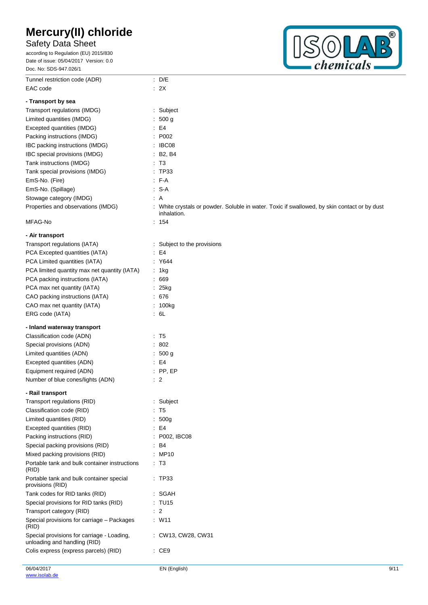Tunnel restriction code (ADR) : D/E

## Safety Data Sheet

according to Regulation (EU) 2015/830 Date of issue: 05/04/2017 Version: 0.0 Doc. No: SDS-947.026/1



| EAC code                                                                   | : 2X                                                                                         |
|----------------------------------------------------------------------------|----------------------------------------------------------------------------------------------|
| - Transport by sea                                                         |                                                                                              |
| Transport regulations (IMDG)                                               | : Subject                                                                                    |
| Limited quantities (IMDG)                                                  | : 500 g                                                                                      |
| Excepted quantities (IMDG)                                                 | E4                                                                                           |
| Packing instructions (IMDG)                                                | : P002                                                                                       |
| IBC packing instructions (IMDG)                                            | $\therefore$ IBC08                                                                           |
| IBC special provisions (IMDG)                                              | $\therefore$ B2, B4                                                                          |
| Tank instructions (IMDG)                                                   | $\mathsf{I}$ T3                                                                              |
| Tank special provisions (IMDG)                                             | : TP33                                                                                       |
| EmS-No. (Fire)                                                             | $-F-A$                                                                                       |
| EmS-No. (Spillage)                                                         | $: S-A$                                                                                      |
| Stowage category (IMDG)                                                    | : A                                                                                          |
| Properties and observations (IMDG)                                         | : White crystals or powder. Soluble in water. Toxic if swallowed, by skin contact or by dust |
|                                                                            | inhalation.                                                                                  |
| MFAG-No                                                                    | : 154                                                                                        |
| - Air transport                                                            |                                                                                              |
| Transport regulations (IATA)                                               | : Subject to the provisions                                                                  |
| PCA Excepted quantities (IATA)                                             | E4                                                                                           |
| PCA Limited quantities (IATA)                                              | : Y644                                                                                       |
| PCA limited quantity max net quantity (IATA)                               | : 1kg                                                                                        |
| PCA packing instructions (IATA)                                            | .669                                                                                         |
| PCA max net quantity (IATA)                                                | $: 25$ kg                                                                                    |
| CAO packing instructions (IATA)                                            | .676                                                                                         |
| CAO max net quantity (IATA)                                                | : 100kg                                                                                      |
| ERG code (IATA)                                                            | $\cdot$ 6L                                                                                   |
| - Inland waterway transport                                                |                                                                                              |
| Classification code (ADN)                                                  | : T5                                                                                         |
| Special provisions (ADN)                                                   | : 802                                                                                        |
| Limited quantities (ADN)                                                   | : 500 g                                                                                      |
| Excepted quantities (ADN)                                                  | E4                                                                                           |
| Equipment required (ADN)                                                   | $:$ PP, EP                                                                                   |
| Number of blue cones/lights (ADN)                                          | $\therefore$ 2                                                                               |
| - Rail transport                                                           |                                                                                              |
| Transport regulations (RID)                                                | : Subject                                                                                    |
| Classification code (RID)                                                  | : T5                                                                                         |
| Limited quantities (RID)                                                   | 500 <sub>g</sub>                                                                             |
| Excepted quantities (RID)                                                  | E4                                                                                           |
| Packing instructions (RID)                                                 | : P002, IBC08                                                                                |
| Special packing provisions (RID)                                           | : B4                                                                                         |
| Mixed packing provisions (RID)                                             | : MP10                                                                                       |
| Portable tank and bulk container instructions<br>(RID)                     | : T3                                                                                         |
| Portable tank and bulk container special<br>provisions (RID)               | : TP33                                                                                       |
| Tank codes for RID tanks (RID)                                             | : SGAH                                                                                       |
| Special provisions for RID tanks (RID)                                     | : TU15                                                                                       |
| Transport category (RID)                                                   | $\therefore$ 2                                                                               |
| Special provisions for carriage - Packages                                 | $:$ W11                                                                                      |
| (RID)                                                                      |                                                                                              |
| Special provisions for carriage - Loading,<br>unloading and handling (RID) | : CW13, CW28, CW31                                                                           |
| Colis express (express parcels) (RID)                                      | $\cdot$ CE9                                                                                  |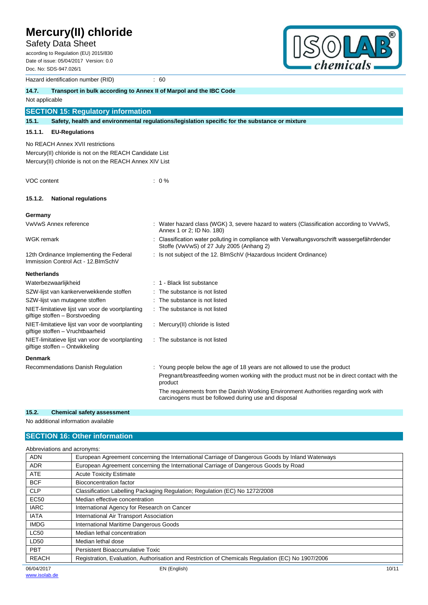Safety Data Sheet

according to Regulation (EU) 2015/830 Date of issue: 05/04/2017 Version: 0.0 Doc. No: SDS-947.026/1



|                                  | Hazard identification number (RID)                                             | : 60                                                                                                                                         |
|----------------------------------|--------------------------------------------------------------------------------|----------------------------------------------------------------------------------------------------------------------------------------------|
| 14.7.                            | Transport in bulk according to Annex II of Marpol and the IBC Code             |                                                                                                                                              |
| Not applicable                   |                                                                                |                                                                                                                                              |
|                                  | <b>SECTION 15: Regulatory information</b>                                      |                                                                                                                                              |
| 15.1.                            |                                                                                | Safety, health and environmental regulations/legislation specific for the substance or mixture                                               |
| 15.1.1.                          | <b>EU-Regulations</b>                                                          |                                                                                                                                              |
|                                  | No REACH Annex XVII restrictions                                               |                                                                                                                                              |
|                                  | Mercury(II) chloride is not on the REACH Candidate List                        |                                                                                                                                              |
|                                  | Mercury(II) chloride is not on the REACH Annex XIV List                        |                                                                                                                                              |
|                                  |                                                                                |                                                                                                                                              |
| VOC content                      |                                                                                | $: 0\%$                                                                                                                                      |
|                                  |                                                                                |                                                                                                                                              |
| 15.1.2.                          | <b>National regulations</b>                                                    |                                                                                                                                              |
| Germany                          |                                                                                |                                                                                                                                              |
| VwVwS Annex reference            |                                                                                | : Water hazard class (WGK) 3, severe hazard to waters (Classification according to VwVwS,<br>Annex 1 or 2; ID No. 180)                       |
| <b>WGK</b> remark                |                                                                                | Classification water polluting in compliance with Verwaltungsvorschrift wassergefährdender<br>Stoffe (VwVwS) of 27 July 2005 (Anhang 2)      |
|                                  | 12th Ordinance Implementing the Federal<br>Immission Control Act - 12. BlmSchV | : Is not subject of the 12. BImSchV (Hazardous Incident Ordinance)                                                                           |
| <b>Netherlands</b>               |                                                                                |                                                                                                                                              |
| Waterbezwaarlijkheid             |                                                                                | : 1 - Black list substance                                                                                                                   |
|                                  | SZW-lijst van kankerverwekkende stoffen                                        | The substance is not listed                                                                                                                  |
| SZW-lijst van mutagene stoffen   |                                                                                | The substance is not listed                                                                                                                  |
| giftige stoffen - Borstvoeding   | NIET-limitatieve lijst van voor de voortplanting                               | The substance is not listed                                                                                                                  |
| giftige stoffen - Vruchtbaarheid | NIET-limitatieve lijst van voor de voortplanting                               | : Mercury(II) chloride is listed                                                                                                             |
| giftige stoffen - Ontwikkeling   | NIET-limitatieve lijst van voor de voortplanting                               | : The substance is not listed                                                                                                                |
| <b>Denmark</b>                   |                                                                                |                                                                                                                                              |
|                                  | Recommendations Danish Regulation                                              | : Young people below the age of 18 years are not allowed to use the product                                                                  |
|                                  |                                                                                | Pregnant/breastfeeding women working with the product must not be in direct contact with the<br>product                                      |
|                                  |                                                                                | The requirements from the Danish Working Environment Authorities regarding work with<br>carcinogens must be followed during use and disposal |

### **15.2. Chemical safety assessment**

No additional information available

### **SECTION 16: Other information**

| Abbreviations and acronyms: |                                                                                                   |       |
|-----------------------------|---------------------------------------------------------------------------------------------------|-------|
| <b>ADN</b>                  | European Agreement concerning the International Carriage of Dangerous Goods by Inland Waterways   |       |
| <b>ADR</b>                  | European Agreement concerning the International Carriage of Dangerous Goods by Road               |       |
| <b>ATE</b>                  | <b>Acute Toxicity Estimate</b>                                                                    |       |
| <b>BCF</b>                  | <b>Bioconcentration factor</b>                                                                    |       |
| <b>CLP</b>                  | Classification Labelling Packaging Regulation; Regulation (EC) No 1272/2008                       |       |
| <b>EC50</b>                 | Median effective concentration                                                                    |       |
| <b>IARC</b>                 | International Agency for Research on Cancer                                                       |       |
| <b>IATA</b>                 | International Air Transport Association                                                           |       |
| <b>IMDG</b>                 | International Maritime Dangerous Goods                                                            |       |
| <b>LC50</b>                 | Median lethal concentration                                                                       |       |
| LD50                        | Median lethal dose                                                                                |       |
| <b>PBT</b>                  | Persistent Bioaccumulative Toxic                                                                  |       |
| <b>REACH</b>                | Registration, Evaluation, Authorisation and Restriction of Chemicals Regulation (EC) No 1907/2006 |       |
| 06/04/2017                  | EN (English)                                                                                      | 10/11 |